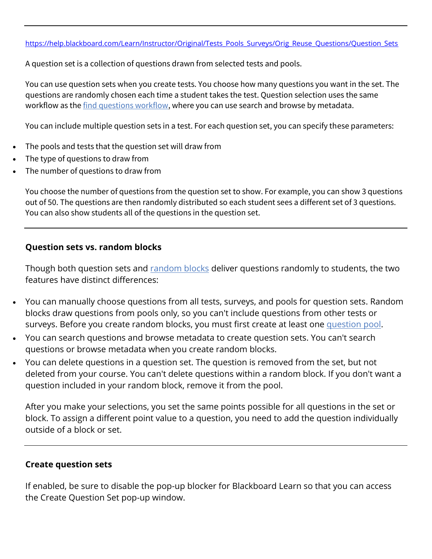A question set is a collection of questions drawn from selected tests and pools.

You can use question sets when you create tests. You choose how many questions you want in the set. The questions are randomly chosen each time a student takes the test. Question selection uses the same workflow as the [find questions workflow,](https://help.blackboard.com/Learn/Instructor/Original/Tests_Pools_Surveys/Reuse_Questions#find) where you can use search and browse by metadata.

You can include multiple question sets in a test. For each question set, you can specify these parameters:

- The pools and tests that the question set will draw from
- The type of questions to draw from
- The number of questions to draw from

You choose the number of questions from the question set to show. For example, you can show 3 questions out of 50. The questions are then randomly distributed so each student sees a different set of 3 questions. You can also show students all of the questions in the question set.

## **Question sets vs. random blocks**

Though both question sets and [random blocks](https://help.blackboard.com/Learn/Instructor/Original/Tests_Pools_Surveys/Reuse_Questions/Random_Block) deliver questions randomly to students, the two features have distinct differences:

- You can manually choose questions from all tests, surveys, and pools for question sets. Random blocks draw questions from pools only, so you can't include questions from other tests or surveys. Before you create random blocks, you must first create at least one [question pool.](https://help.blackboard.com/Learn/Instructor/Original/Tests_Pools_Surveys/Reuse_Questions/Question_Pools_Banks)
- You can search questions and browse metadata to create question sets. You can't search questions or browse metadata when you create random blocks.
- You can delete questions in a question set. The question is removed from the set, but not deleted from your course. You can't delete questions within a random block. If you don't want a question included in your random block, remove it from the pool.

After you make your selections, you set the same points possible for all questions in the set or block. To assign a different point value to a question, you need to add the question individually outside of a block or set.

## **Create question sets**

If enabled, be sure to disable the pop-up blocker for Blackboard Learn so that you can access the Create Question Set pop-up window.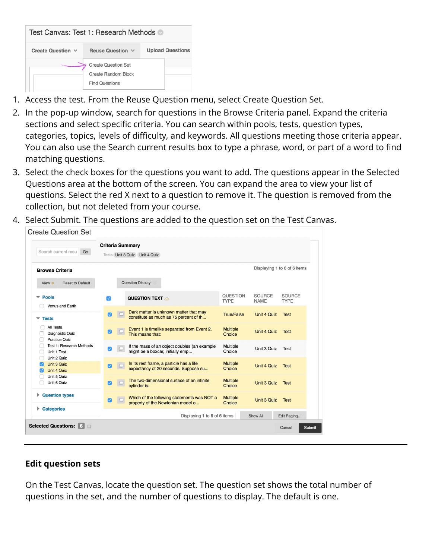| Test Canvas: Test 1: Research Methods |                                                                            |  |                         |  |  |
|---------------------------------------|----------------------------------------------------------------------------|--|-------------------------|--|--|
| Create Question $\vee$                | Reuse Question V                                                           |  | <b>Upload Questions</b> |  |  |
|                                       | <b>Create Question Set</b><br>Create Random Block<br><b>Find Questions</b> |  |                         |  |  |

- 1. Access the test. From the Reuse Question menu, select Create Question Set.
- 2. In the pop-up window, search for questions in the Browse Criteria panel. Expand the criteria sections and select specific criteria. You can search within pools, tests, question types, categories, topics, levels of difficulty, and keywords. All questions meeting those criteria appear. You can also use the Search current results box to type a phrase, word, or part of a word to find matching questions.
- 3. Select the check boxes for the questions you want to add. The questions appear in the Selected Questions area at the bottom of the screen. You can expand the area to view your list of questions. Select the red X next to a question to remove it. The question is removed from the collection, but not deleted from your course.



4. Select Submit. The questions are added to the question set on the Test Canvas.

# **Edit question sets**

On the Test Canvas, locate the question set. The question set shows the total number of questions in the set, and the number of questions to display. The default is one.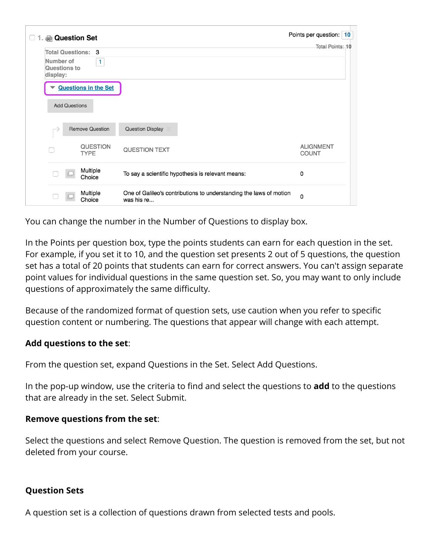| <b>&amp; Question Set</b><br>-1.                      |                                                                                  | Points per question: 10          |
|-------------------------------------------------------|----------------------------------------------------------------------------------|----------------------------------|
| <b>Total Questions:</b><br>3                          |                                                                                  | Total Points: 10                 |
| Number of<br>$\mathbf{1}$<br>Questions to<br>display: |                                                                                  |                                  |
| <b>Questions in the Set</b>                           |                                                                                  |                                  |
| <b>Add Questions</b>                                  |                                                                                  |                                  |
| <b>Remove Question</b>                                | <b>Question Display</b>                                                          |                                  |
| <b>QUESTION</b><br><b>TYPE</b>                        | <b>QUESTION TEXT</b>                                                             | <b>ALIGNMENT</b><br><b>COUNT</b> |
| Multiple<br>Choice                                    | To say a scientific hypothesis is relevant means:                                | 0                                |
| Multiple<br>Choice                                    | One of Galileo's contributions to understanding the laws of motion<br>was his re | 0                                |

You can change the number in the Number of Questions to display box.

In the Points per question box, type the points students can earn for each question in the set. For example, if you set it to 10, and the question set presents 2 out of 5 questions, the question set has a total of 20 points that students can earn for correct answers. You can't assign separate point values for individual questions in the same question set. So, you may want to only include questions of approximately the same difficulty.

Because of the randomized format of question sets, use caution when you refer to specific question content or numbering. The questions that appear will change with each attempt.

# **Add questions to the set**:

From the question set, expand Questions in the Set. Select Add Questions.

In the pop-up window, use the criteria to find and select the questions to **add** to the questions that are already in the set. Select Submit.

# **Remove questions from the set**:

Select the questions and select Remove Question. The question is removed from the set, but not deleted from your course.

# **Question Sets**

A question set is a collection of questions drawn from selected tests and pools.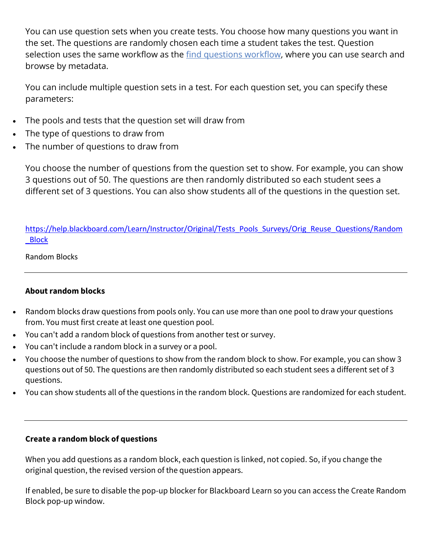You can use question sets when you create tests. You choose how many questions you want in the set. The questions are randomly chosen each time a student takes the test. Question selection uses the same workflow as the [find questions workflow,](https://help.blackboard.com/Learn/Instructor/Original/Tests_Pools_Surveys/Reuse_Questions#find) where you can use search and browse by metadata.

You can include multiple question sets in a test. For each question set, you can specify these parameters:

- The pools and tests that the question set will draw from
- The type of questions to draw from
- The number of questions to draw from

You choose the number of questions from the question set to show. For example, you can show 3 questions out of 50. The questions are then randomly distributed so each student sees a different set of 3 questions. You can also show students all of the questions in the question set.

[https://help.blackboard.com/Learn/Instructor/Original/Tests\\_Pools\\_Surveys/Orig\\_Reuse\\_Questions/Random](https://help.blackboard.com/Learn/Instructor/Original/Tests_Pools_Surveys/Orig_Reuse_Questions/Random_Block) [\\_Block](https://help.blackboard.com/Learn/Instructor/Original/Tests_Pools_Surveys/Orig_Reuse_Questions/Random_Block)

### Random Blocks

## **About random blocks**

- Random blocks draw questions from pools only. You can use more than one pool to draw your questions from. You must first create at least one question pool.
- You can't add a random block of questions from another test or survey.
- You can't include a random block in a survey or a pool.
- You choose the number of questions to show from the random block to show. For example, you can show 3 questions out of 50. The questions are then randomly distributed so each student sees a different set of 3 questions.
- You can show students all of the questions in the random block. Questions are randomized for each student.

#### **Create a random block of questions**

When you add questions as a random block, each question is linked, not copied. So, if you change the original question, the revised version of the question appears.

If enabled, be sure to disable the pop-up blocker for Blackboard Learn so you can access the Create Random Block pop-up window.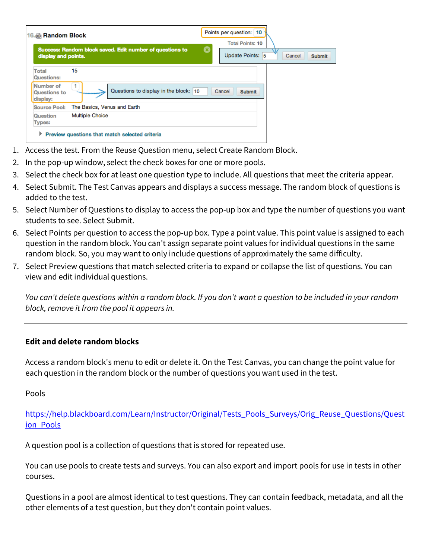| 16. Random Block                      |                                                          |   | Points per question: 10<br><b>Total Points: 10</b> |  |
|---------------------------------------|----------------------------------------------------------|---|----------------------------------------------------|--|
| display and points.                   | Success: Random block saved. Edit number of questions to | ⊗ | Update Points: 5<br>Cancel<br><b>Submit</b>        |  |
| Total<br>Questions:                   | 15                                                       |   |                                                    |  |
| Number of<br>Questions to<br>display: | Questions to display in the block: 10                    |   | Cancel<br><b>Submit</b>                            |  |
| <b>Source Pool:</b>                   | The Basics, Venus and Earth                              |   |                                                    |  |
| Question<br><b>Types:</b>             | <b>Multiple Choice</b>                                   |   |                                                    |  |

- 1. Access the test. From the Reuse Question menu, select Create Random Block.
- 2. In the pop-up window, select the check boxes for one or more pools.
- 3. Select the check box for at least one question type to include. All questions that meet the criteria appear.
- 4. Select Submit. The Test Canvas appears and displays a success message. The random block of questions is added to the test.
- 5. Select Number of Questions to display to access the pop-up box and type the number of questions you want students to see. Select Submit.
- 6. Select Points per question to access the pop-up box. Type a point value. This point value is assigned to each question in the random block. You can't assign separate point values for individual questions in the same random block. So, you may want to only include questions of approximately the same difficulty.
- 7. Select Preview questions that match selected criteria to expand or collapse the list of questions. You can view and edit individual questions.

*You can't delete questions within a random block. If you don't want a question to be included in your random block, remove it from the pool it appears in.*

#### **Edit and delete random blocks**

Access a random block's menu to edit or delete it. On the Test Canvas, you can change the point value for each question in the random block or the number of questions you want used in the test.

Pools

[https://help.blackboard.com/Learn/Instructor/Original/Tests\\_Pools\\_Surveys/Orig\\_Reuse\\_Questions/Quest](https://help.blackboard.com/Learn/Instructor/Original/Tests_Pools_Surveys/Orig_Reuse_Questions/Question_Pools) [ion\\_Pools](https://help.blackboard.com/Learn/Instructor/Original/Tests_Pools_Surveys/Orig_Reuse_Questions/Question_Pools)

A question pool is a collection of questions that is stored for repeated use.

You can use pools to create tests and surveys. You can also export and import pools for use in tests in other courses.

Questions in a pool are almost identical to test questions. They can contain feedback, metadata, and all the other elements of a test question, but they don't contain point values.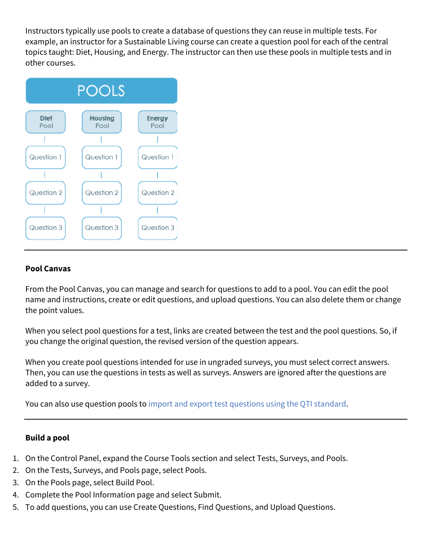Instructors typically use pools to create a database of questions they can reuse in multiple tests. For example, an instructor for a Sustainable Living course can create a question pool for each of the central topics taught: Diet, Housing, and Energy. The instructor can then use these pools in multiple tests and in other courses.



## **Pool Canvas**

From the Pool Canvas, you can manage and search for questions to add to a pool. You can edit the pool name and instructions, create or edit questions, and upload questions. You can also delete them or change the point values.

When you select pool questions for a test, links are created between the test and the pool questions. So, if you change the original question, the revised version of the question appears.

When you create pool questions intended for use in ungraded surveys, you must select correct answers. Then, you can use the questions in tests as well as surveys. Answers are ignored after the questions are added to a survey.

You can also use question pools to [import and export test questions using the QTI standard.](https://help.blackboard.com/Learn/Instructor/Original/Tests_Pools_Surveys/Orig_Reuse_Questions/Question_Pools#qti_import)

#### **Build a pool**

- 1. On the Control Panel, expand the Course Tools section and select Tests, Surveys, and Pools.
- 2. On the Tests, Surveys, and Pools page, select Pools.
- 3. On the Pools page, select Build Pool.
- 4. Complete the Pool Information page and select Submit.
- 5. To add questions, you can use Create Questions, Find Questions, and Upload Questions.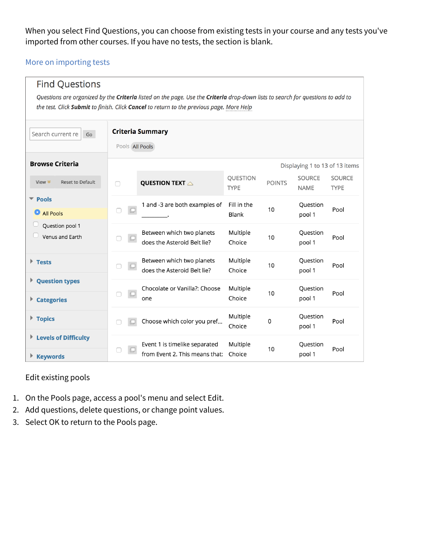When you select Find Questions, you can choose from existing tests in your course and any tests you've imported from other courses. If you have no tests, the section is blank.

### [More on importing tests](https://help.blackboard.com/Learn/Instructor/Original/Tests_Pools_Surveys/Reuse_Questions/Import_or_Export_Tests_Surveys_and_Pools)

| <b>Find Questions</b>                                                                                                                                                                                                      |                                            |                                                                 |                         |               |                                |                              |
|----------------------------------------------------------------------------------------------------------------------------------------------------------------------------------------------------------------------------|--------------------------------------------|-----------------------------------------------------------------|-------------------------|---------------|--------------------------------|------------------------------|
| Questions are organized by the Criteria listed on the page. Use the Criteria drop-down lists to search for questions to add to<br>the test. Click Submit to finish. Click Cancel to return to the previous page. More Help |                                            |                                                                 |                         |               |                                |                              |
| Search current re:<br>Go                                                                                                                                                                                                   | <b>Criteria Summary</b><br>Pools All Pools |                                                                 |                         |               |                                |                              |
| <b>Browse Criteria</b>                                                                                                                                                                                                     |                                            |                                                                 |                         |               | Displaying 1 to 13 of 13 items |                              |
| Reset to Default<br>View $*$                                                                                                                                                                                               | □                                          | QUESTION TEXT $\triangle$                                       | QUESTION<br><b>TYPE</b> | <b>POINTS</b> | <b>SOURCE</b><br><b>NAME</b>   | <b>SOURCE</b><br><b>TYPE</b> |
| $\blacktriangledown$ Pools<br>All Pools                                                                                                                                                                                    | $\Box$                                     | 1 and -3 are both examples of                                   | Fill in the<br>Blank    | 10            | Question<br>pool 1             | Pool                         |
| Question pool 1<br>Venus and Earth                                                                                                                                                                                         |                                            | Between which two planets<br>does the Asteroid Belt lie?        | Multiple<br>Choice      | 10            | Question<br>pool 1             | Pool                         |
| $\blacktriangleright$ Tests                                                                                                                                                                                                |                                            | Between which two planets<br>does the Asteroid Belt lie?        | Multiple<br>Choice      | 10            | Question<br>pool 1             | Pool                         |
| <b>Question types</b><br><b>Categories</b><br>Þ.                                                                                                                                                                           | $\Box$                                     | Chocolate or Vanilla?: Choose<br>one                            | Multiple<br>Choice      | 10            | Question<br>pool 1             | Pool                         |
| $\blacktriangleright$ Topics                                                                                                                                                                                               |                                            | Choose which color you pref                                     | Multiple<br>Choice      | 0             | Question<br>pool 1             | Pool                         |
| Levels of Difficulty<br>▶ Keywords                                                                                                                                                                                         |                                            | Event 1 is timelike separated<br>from Event 2. This means that: | Multiple<br>Choice      | 10            | Question<br>pool 1             | Pool                         |

#### Edit existing pools

- 1. On the Pools page, access a pool's menu and select Edit.
- 2. Add questions, delete questions, or change point values.
- 3. Select OK to return to the Pools page.